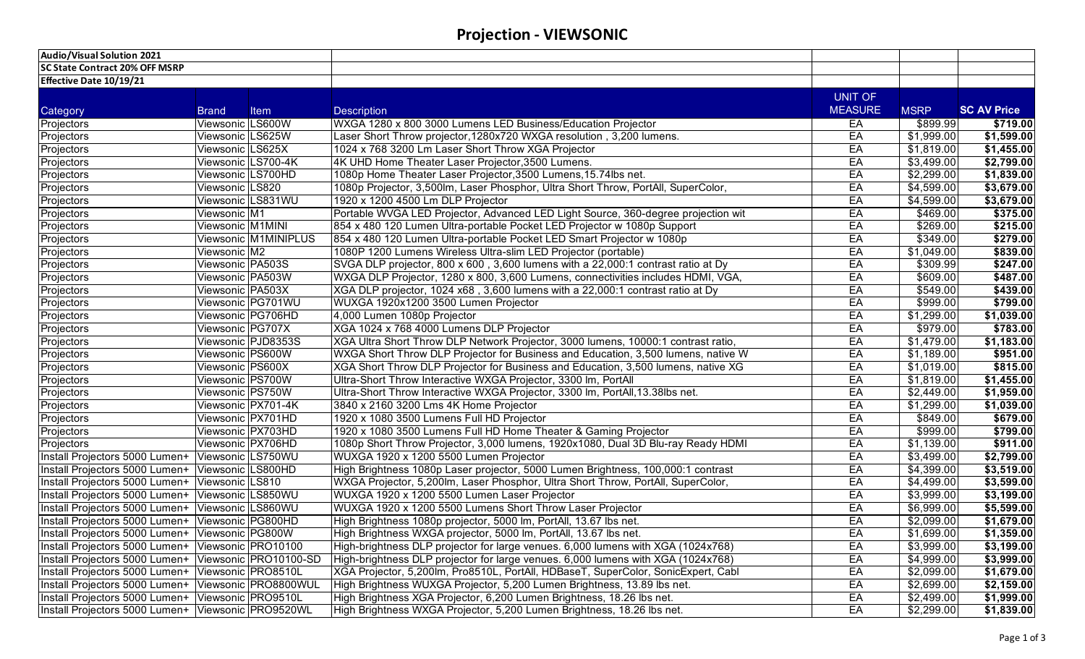# **Projection - VIEWSONIC**

| Audio/Visual Solution 2021                           |                   |                      |                                                                                   |                |                 |                    |
|------------------------------------------------------|-------------------|----------------------|-----------------------------------------------------------------------------------|----------------|-----------------|--------------------|
| <b>SC State Contract 20% OFF MSRP</b>                |                   |                      |                                                                                   |                |                 |                    |
| <b>Effective Date 10/19/21</b>                       |                   |                      |                                                                                   |                |                 |                    |
|                                                      |                   |                      |                                                                                   | <b>UNIT OF</b> |                 |                    |
| Category                                             | <b>Brand</b>      | Item                 | <b>Description</b>                                                                | <b>MEASURE</b> | <b>MSRP</b>     | <b>SC AV Price</b> |
| Projectors                                           | Viewsonic LS600W  |                      | WXGA 1280 x 800 3000 Lumens LED Business/Education Projector                      | EA             | \$899.99        | \$719.00           |
| Projectors                                           | Viewsonic LS625W  |                      | Laser Short Throw projector, 1280x720 WXGA resolution, 3,200 lumens.              | EA             | \$1,999.00      | \$1,599.00         |
| Projectors                                           | Viewsonic LS625X  |                      | 1024 x 768 3200 Lm Laser Short Throw XGA Projector                                | EA             | \$1,819.00      | \$1,455.00         |
| Projectors                                           |                   | Viewsonic LS700-4K   | 4K UHD Home Theater Laser Projector, 3500 Lumens.                                 | EA             | \$3,499.00      | $\sqrt{$2,799.00}$ |
| Projectors                                           | Viewsonic LS700HD |                      | 1080p Home Theater Laser Projector, 3500 Lumens, 15.74lbs net.                    | EA             | \$2,299.00      | \$1,839.00         |
| Projectors                                           | Viewsonic LS820   |                      | 1080p Projector, 3,500lm, Laser Phosphor, Ultra Short Throw, PortAll, SuperColor, | EA             | \$4,599.00      | \$3,679.00         |
| Projectors                                           |                   | Viewsonic LS831WU    | 1920 x 1200 4500 Lm DLP Projector                                                 | EA             | \$4,599.00      | \$3,679.00         |
| Projectors                                           | Viewsonic M1      |                      | Portable WVGA LED Projector, Advanced LED Light Source, 360-degree projection wit | EA             | $\sqrt{469.00}$ | \$375.00           |
| Projectors                                           | Viewsonic M1MINI  |                      | 854 x 480 120 Lumen Ultra-portable Pocket LED Projector w 1080p Support           | EA             | \$269.00        | \$215.00           |
| Projectors                                           |                   | Viewsonic M1MINIPLUS | 854 x 480 120 Lumen Ultra-portable Pocket LED Smart Projector w 1080p             | EA             | \$349.00        | \$279.00           |
| Projectors                                           | Viewsonic M2      |                      | 1080P 1200 Lumens Wireless Ultra-slim LED Projector (portable)                    | EA             | \$1,049.00      | \$839.00           |
| Projectors                                           | Viewsonic PA503S  |                      | SVGA DLP projector, 800 x 600, 3,600 lumens with a 22,000:1 contrast ratio at Dy  | EA             | \$309.99        | \$247.00           |
| Projectors                                           | Viewsonic PA503W  |                      | WXGA DLP Projector, 1280 x 800, 3,600 Lumens, connectivities includes HDMI, VGA,  | EA             | \$609.00        | \$487.00           |
| Projectors                                           | Viewsonic PA503X  |                      | XGA DLP projector, 1024 x68, 3,600 lumens with a 22,000:1 contrast ratio at Dy    | EA             | \$549.00        | \$439.00           |
| Projectors                                           |                   | Viewsonic PG701WU    | WUXGA 1920x1200 3500 Lumen Projector                                              | EA             | \$999.00        | \$799.00           |
| Projectors                                           |                   | Viewsonic PG706HD    | 4,000 Lumen 1080p Projector                                                       | EA             | \$1,299.00      | \$1,039.00         |
| Projectors                                           | Viewsonic PG707X  |                      | XGA 1024 x 768 4000 Lumens DLP Projector                                          | EA             | \$979.00        | \$783.00           |
| Projectors                                           |                   | Viewsonic PJD8353S   | XGA Ultra Short Throw DLP Network Projector, 3000 lumens, 10000:1 contrast ratio, | EA             | \$1,479.00      | \$1,183.00         |
| Projectors                                           | Viewsonic PS600W  |                      | WXGA Short Throw DLP Projector for Business and Education, 3,500 lumens, native W | EA             | \$1,189.00      | \$951.00           |
| Projectors                                           | Viewsonic PS600X  |                      | XGA Short Throw DLP Projector for Business and Education, 3,500 lumens, native XG | EA             | \$1,019.00      | \$815.00           |
| Projectors                                           | Viewsonic PS700W  |                      | Ultra-Short Throw Interactive WXGA Projector, 3300 lm, PortAll                    | EA             | \$1,819.00      | \$1,455.00         |
| Projectors                                           | Viewsonic PS750W  |                      | Ultra-Short Throw Interactive WXGA Projector, 3300 lm, PortAll, 13.38lbs net.     | EA             | \$2,449.00      | \$1,959.00         |
| Projectors                                           |                   | Viewsonic PX701-4K   | 3840 x 2160 3200 Lms 4K Home Projector                                            | EA             | \$1,299.00      | \$1,039.00         |
| Projectors                                           | Viewsonic PX701HD |                      | 1920 x 1080 3500 Lumens Full HD Projector                                         | EA             | \$849.00        | \$679.00           |
| Projectors                                           | Viewsonic PX703HD |                      | 1920 x 1080 3500 Lumens Full HD Home Theater & Gaming Projector                   | EA             | \$999.00        | \$799.00           |
| Projectors                                           | Viewsonic PX706HD |                      | 1080p Short Throw Projector, 3,000 lumens, 1920x1080, Dual 3D Blu-ray Ready HDMI  | EA             | \$1,139.00      | \$911.00           |
| Install Projectors 5000 Lumen+                       |                   | Viewsonic LS750WU    | WUXGA 1920 x 1200 5500 Lumen Projector                                            | EA             | \$3,499.00      | \$2,799.00         |
| Install Projectors 5000 Lumen+ Viewsonic LS800HD     |                   |                      | High Brightness 1080p Laser projector, 5000 Lumen Brightness, 100,000:1 contrast  | EA             | \$4,399.00      | \$3,519.00         |
| Install Projectors 5000 Lumen+ Viewsonic LS810       |                   |                      | WXGA Projector, 5,200lm, Laser Phosphor, Ultra Short Throw, PortAll, SuperColor,  | EA             | \$4,499.00      | \$3,599.00         |
| Install Projectors 5000 Lumen+ Viewsonic LS850WU     |                   |                      | WUXGA 1920 x 1200 5500 Lumen Laser Projector                                      | EA             | \$3,999.00      | \$3,199.00         |
| Install Projectors 5000 Lumen+ Viewsonic LS860WU     |                   |                      | WUXGA 1920 x 1200 5500 Lumens Short Throw Laser Projector                         | EA             | \$6,999.00      | \$5,599.00         |
| Install Projectors 5000 Lumen+ Viewsonic PG800HD     |                   |                      | High Brightness 1080p projector, 5000 lm, PortAll, 13.67 lbs net.                 | EA             | \$2,099.00      | \$1,679.00         |
| Install Projectors 5000 Lumen+ Viewsonic PG800W      |                   |                      | High Brightness WXGA projector, 5000 lm, PortAll, 13.67 lbs net.                  | EA             | \$1,699.00      | \$1,359.00         |
| Install Projectors 5000 Lumen+ Viewsonic PRO10100    |                   |                      | High-brightness DLP projector for large venues. 6,000 lumens with XGA (1024x768)  | EA             | \$3,999.00      | \$3,199.00         |
| Install Projectors 5000 Lumen+ Viewsonic PRO10100-SD |                   |                      | High-brightness DLP projector for large venues. 6,000 lumens with XGA (1024x768)  | EA             | \$4,999.00      | \$3,999.00         |
| Install Projectors 5000 Lumen+ Viewsonic PRO8510L    |                   |                      | XGA Projector, 5,200lm, Pro8510L, PortAll, HDBaseT, SuperColor, SonicExpert, Cabl | EA             | \$2,099.00      | \$1,679.00         |
| Install Projectors 5000 Lumen+ Viewsonic PRO8800WUL  |                   |                      | High Brightness WUXGA Projector, 5,200 Lumen Brightness, 13.89 lbs net.           | EA             | \$2,699.00      | \$2,159.00         |
| Install Projectors 5000 Lumen+ Viewsonic PRO9510L    |                   |                      | High Brightness XGA Projector, 6,200 Lumen Brightness, 18.26 lbs net.             | EA             | \$2,499.00      | \$1,999.00         |
| Install Projectors 5000 Lumen+ Viewsonic PRO9520WL   |                   |                      | High Brightness WXGA Projector, 5,200 Lumen Brightness, 18.26 lbs net.            | EA             | \$2,299.00      | \$1,839.00         |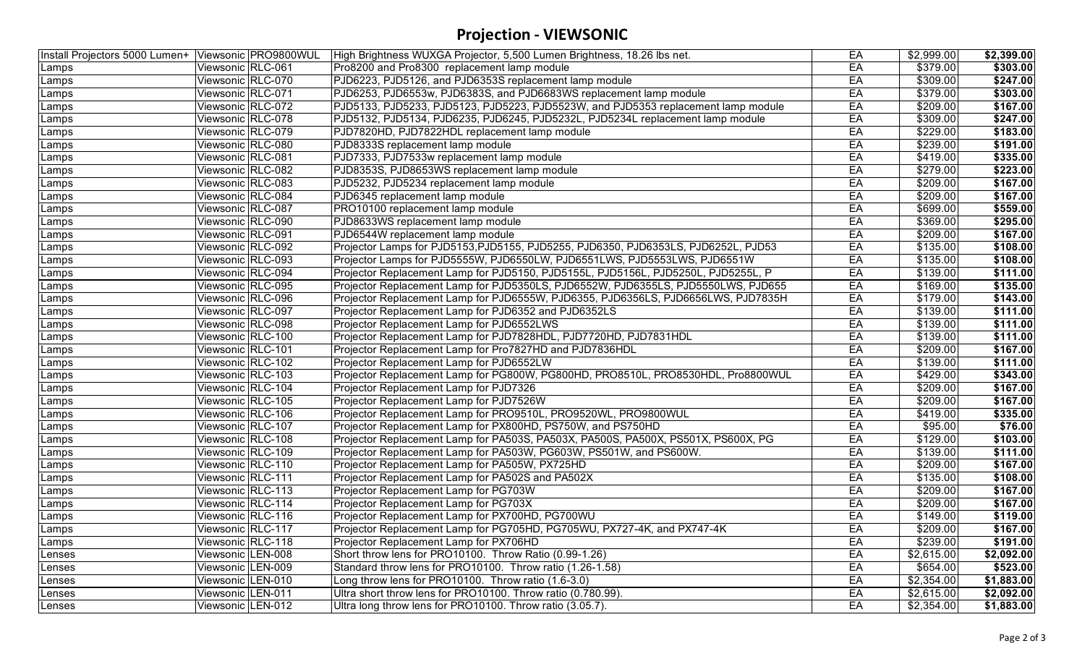# **Projection - VIEWSONIC**

| Install Projectors 5000 Lumen+ Viewsonic PRO9800WUL |                   | High Brightness WUXGA Projector, 5,500 Lumen Brightness, 18.26 lbs net.            | EA | \$2,999.00 | \$2,399.00 |
|-----------------------------------------------------|-------------------|------------------------------------------------------------------------------------|----|------------|------------|
| Lamps                                               | Viewsonic RLC-061 | Pro8200 and Pro8300 replacement lamp module                                        | EA | \$379.00   | \$303.00   |
| Lamps                                               | Viewsonic RLC-070 | PJD6223, PJD5126, and PJD6353S replacement lamp module                             | EA | \$309.00   | \$247.00   |
| Lamps                                               | Viewsonic RLC-071 | PJD6253, PJD6553w, PJD6383S, and PJD6683WS replacement lamp module                 | EA | \$379.00   | \$303.00   |
| Lamps                                               | Viewsonic RLC-072 | PJD5133, PJD5233, PJD5123, PJD5223, PJD5523W, and PJD5353 replacement lamp module  | EA | \$209.00   | \$167.00   |
| Lamps                                               | Viewsonic RLC-078 | PJD5132, PJD5134, PJD6235, PJD6245, PJD5232L, PJD5234L replacement lamp module     | EA | \$309.00   | \$247.00   |
| Lamps                                               | Viewsonic RLC-079 | PJD7820HD, PJD7822HDL replacement lamp module                                      | EA | \$229.00   | \$183.00   |
| Lamps                                               | Viewsonic RLC-080 | PJD8333S replacement lamp module                                                   | EA | \$239.00   | \$191.00   |
| Lamps                                               | Viewsonic RLC-081 | PJD7333, PJD7533w replacement lamp module                                          | EA | \$419.00   | \$335.00   |
| Lamps                                               | Viewsonic RLC-082 | PJD8353S, PJD8653WS replacement lamp module                                        | EA | \$279.00   | \$223.00   |
| Lamps                                               | Viewsonic RLC-083 | PJD5232, PJD5234 replacement lamp module                                           | EA | \$209.00]  | \$167.00   |
| Lamps                                               | Viewsonic RLC-084 | PJD6345 replacement lamp module                                                    | EA | \$209.00   | \$167.00   |
| Lamps                                               | Viewsonic RLC-087 | PRO10100 replacement lamp module                                                   | EA | \$699.00   | \$559.00   |
| Lamps                                               | Viewsonic RLC-090 | PJD8633WS replacement lamp module                                                  | EA | \$369.00   | \$295.00   |
| Lamps                                               | Viewsonic RLC-091 | PJD6544W replacement lamp module                                                   | EA | \$209.00   | \$167.00   |
| Lamps                                               | Viewsonic RLC-092 | Projector Lamps for PJD5153, PJD5155, PJD5255, PJD6350, PJD6353LS, PJD6252L, PJD53 | EA | \$135.00   | \$108.00   |
| Lamps                                               | Viewsonic RLC-093 | Projector Lamps for PJD5555W, PJD6550LW, PJD6551LWS, PJD5553LWS, PJD6551W          | EA | \$135.00   | \$108.00   |
| Lamps                                               | Viewsonic RLC-094 | Projector Replacement Lamp for PJD5150, PJD5155L, PJD5156L, PJD5250L, PJD5255L, P  | EA | \$139.00   | \$111.00   |
| Lamps                                               | Viewsonic RLC-095 | Projector Replacement Lamp for PJD5350LS, PJD6552W, PJD6355LS, PJD5550LWS, PJD655  | EA | \$169.00   | \$135.00   |
| Lamps                                               | Viewsonic RLC-096 | Projector Replacement Lamp for PJD6555W, PJD6355, PJD6356LS, PJD6656LWS, PJD7835H  | EA | \$179.00   | \$143.00   |
| Lamps                                               | Viewsonic RLC-097 | Projector Replacement Lamp for PJD6352 and PJD6352LS                               | EA | \$139.00   | \$111.00   |
| Lamps                                               | Viewsonic RLC-098 | Projector Replacement Lamp for PJD6552LWS                                          | EA | \$139.00   | \$111.00   |
| Lamps                                               | Viewsonic RLC-100 | Projector Replacement Lamp for PJD7828HDL, PJD7720HD, PJD7831HDL                   | EA | \$139.00   | \$111.00   |
| Lamps                                               | Viewsonic RLC-101 | Projector Replacement Lamp for Pro7827HD and PJD7836HDL                            | EA | \$209.00   | \$167.00   |
| Lamps                                               | Viewsonic RLC-102 | Projector Replacement Lamp for PJD6552LW                                           | EA | \$139.00   | \$111.00   |
| Lamps                                               | Viewsonic RLC-103 | Projector Replacement Lamp for PG800W, PG800HD, PRO8510L, PRO8530HDL, Pro8800WUL   | EA | \$429.00   | \$343.00   |
| Lamps                                               | Viewsonic RLC-104 | Projector Replacement Lamp for PJD7326                                             | EA | \$209.00   | \$167.00   |
| Lamps                                               | Viewsonic RLC-105 | Projector Replacement Lamp for PJD7526W                                            | EA | \$209.00   | \$167.00   |
| Lamps                                               | Viewsonic RLC-106 | Projector Replacement Lamp for PRO9510L, PRO9520WL, PRO9800WUL                     | EA | \$419.00   | \$335.00   |
| Lamps                                               | Viewsonic RLC-107 | Projector Replacement Lamp for PX800HD, PS750W, and PS750HD                        | EA | \$95.00    | \$76.00    |
| Lamps                                               | Viewsonic RLC-108 | Projector Replacement Lamp for PA503S, PA503X, PA500S, PA500X, PS501X, PS600X, PG  | EA | \$129.00   | \$103.00   |
| Lamps                                               | Viewsonic RLC-109 | Projector Replacement Lamp for PA503W, PG603W, PS501W, and PS600W.                 | EA | \$139.00   | \$111.00   |
| Lamps                                               | Viewsonic RLC-110 | Projector Replacement Lamp for PA505W, PX725HD                                     | EA | \$209.00   | \$167.00   |
| Lamps                                               | Viewsonic RLC-111 | Projector Replacement Lamp for PA502S and PA502X                                   | EA | \$135.00   | \$108.00   |
| Lamps                                               | Viewsonic RLC-113 | Projector Replacement Lamp for PG703W                                              | EA | \$209.00   | \$167.00   |
| Lamps                                               | Viewsonic RLC-114 | Projector Replacement Lamp for PG703X                                              | EA | \$209.00   | \$167.00   |
| Lamps                                               | Viewsonic RLC-116 | Projector Replacement Lamp for PX700HD, PG700WU                                    | EA | \$149.00   | \$119.00   |
| Lamps                                               | Viewsonic RLC-117 | Projector Replacement Lamp for PG705HD, PG705WU, PX727-4K, and PX747-4K            | EA | \$209.00   | \$167.00   |
| Lamps                                               | Viewsonic RLC-118 | Projector Replacement Lamp for PX706HD                                             | EA | \$239.00   | \$191.00   |
| Lenses                                              | Viewsonic LEN-008 | Short throw lens for PRO10100. Throw Ratio (0.99-1.26)                             | EA | \$2,615.00 | \$2,092.00 |
| Lenses                                              | Viewsonic LEN-009 | Standard throw lens for PRO10100. Throw ratio (1.26-1.58)                          | EA | \$654.00   | \$523.00   |
| Lenses                                              | Viewsonic LEN-010 | Long throw lens for PRO10100. Throw ratio (1.6-3.0)                                | EA | \$2,354.00 | \$1,883.00 |
| Lenses                                              | Viewsonic LEN-011 | Ultra short throw lens for PRO10100. Throw ratio (0.780.99).                       | EA | \$2,615.00 | \$2,092.00 |
| Lenses                                              | Viewsonic LEN-012 | Ultra long throw lens for PRO10100. Throw ratio (3.05.7).                          | EA | \$2,354.00 | \$1,883.00 |
|                                                     |                   |                                                                                    |    |            |            |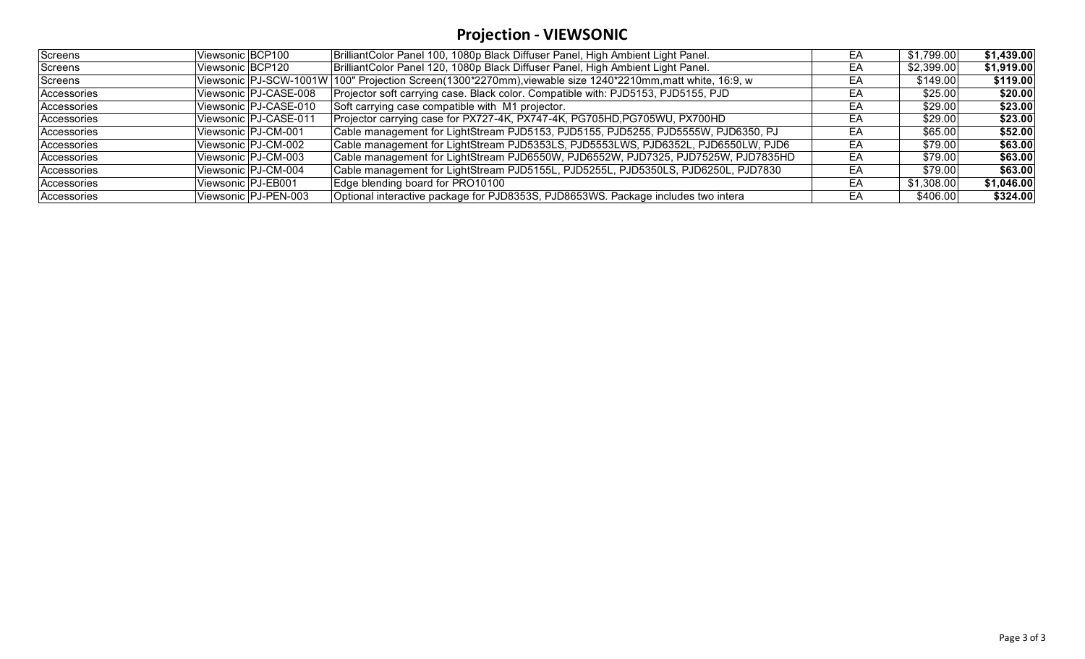# **Projection - VIEWSONIC**

| Screens     | Viewsonic BCP100        | BrilliantColor Panel 100, 1080p Black Diffuser Panel, High Ambient Light Panel.                            | EА | \$1,799.00 | \$1,439.00 |
|-------------|-------------------------|------------------------------------------------------------------------------------------------------------|----|------------|------------|
| Screens     | Viewsonic BCP120        | BrilliantColor Panel 120, 1080p Black Diffuser Panel, High Ambient Light Panel.                            | EА | \$2,399.00 | \$1,919.00 |
| Screens     |                         | Viewsonic PJ-SCW-1001W 100" Projection Screen(1300*2270mm), viewable size 1240*2210mm, matt white, 16:9, w | ЕA | \$149.00   | \$119.00   |
| Accessories | Viewsonic   PJ-CASE-008 | Projector soft carrying case. Black color. Compatible with: PJD5153, PJD5155, PJD                          | EA | \$25.00    | \$20.00    |
| Accessories | Viewsonic PJ-CASE-010   | Soft carrying case compatible with M1 projector.                                                           | EА | \$29.00    | \$23.00    |
| Accessories | Viewsonic PJ-CASE-011   | Projector carrying case for PX727-4K, PX747-4K, PG705HD, PG705WU, PX700HD                                  | EА | \$29.00    | \$23.00    |
| Accessories | Viewsonic PJ-CM-001     | Cable management for LightStream PJD5153, PJD5155, PJD5255, PJD5555W, PJD6350, PJ                          | EA | \$65.00    | \$52.00    |
| Accessories | Viewsonic   PJ-CM-002   | Cable management for LightStream PJD5353LS, PJD5553LWS, PJD6352L, PJD6550LW, PJD6                          | EА | \$79.00    | \$63.00    |
| Accessories | Viewsonic   PJ-CM-003   | Cable management for LightStream PJD6550W, PJD6552W, PJD7325, PJD7525W, PJD7835HD                          | EΑ | \$79.00    | \$63.00    |
| Accessories | Viewsonic PJ-CM-004     | Cable management for LightStream PJD5155L, PJD5255L, PJD5350LS, PJD6250L, PJD7830                          | EA | \$79.00    | \$63.00    |
| Accessories | Viewsonic   PJ-EB001    | Edge blending board for PRO10100                                                                           | EΑ | \$1,308.00 | \$1,046.00 |
| Accessories | Viewsonic PJ-PEN-003    | Optional interactive package for PJD8353S, PJD8653WS. Package includes two intera                          | EA | \$406.00   | \$324.00   |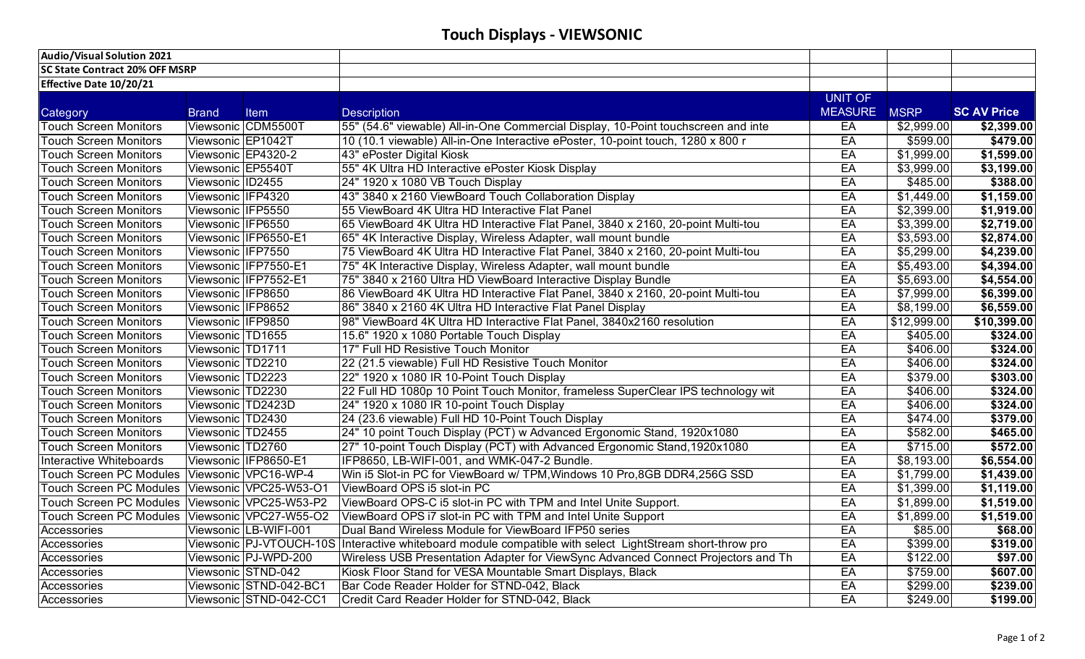| <b>Audio/Visual Solution 2021</b>     |                   |                        |                                                                                                          |                |             |                    |
|---------------------------------------|-------------------|------------------------|----------------------------------------------------------------------------------------------------------|----------------|-------------|--------------------|
| <b>SC State Contract 20% OFF MSRP</b> |                   |                        |                                                                                                          |                |             |                    |
| Effective Date 10/20/21               |                   |                        |                                                                                                          |                |             |                    |
|                                       |                   |                        |                                                                                                          | <b>UNIT OF</b> |             |                    |
| Category                              | <b>Brand</b>      | Item                   | <b>Description</b>                                                                                       | <b>MEASURE</b> | <b>MSRP</b> | <b>SC AV Price</b> |
| <b>Touch Screen Monitors</b>          |                   | Viewsonic CDM5500T     | 55" (54.6" viewable) All-in-One Commercial Display, 10-Point touchscreen and inte                        | EA             | \$2,999.00  | \$2,399.00         |
| <b>Touch Screen Monitors</b>          | Viewsonic EP1042T |                        | 10 (10.1 viewable) All-in-One Interactive ePoster, 10-point touch, 1280 x 800 r                          | EA             | \$599.00    | \$479.00           |
| <b>Touch Screen Monitors</b>          |                   | Viewsonic EP4320-2     | 43" ePoster Digital Kiosk                                                                                | EA             | \$1,999.00  | \$1,599.00         |
| <b>Touch Screen Monitors</b>          | Viewsonic EP5540T |                        | 55" 4K Ultra HD Interactive ePoster Kiosk Display                                                        | EA             | \$3,999.00  | \$3,199.00         |
| <b>Touch Screen Monitors</b>          | Viewsonic ID2455  |                        | 24" 1920 x 1080 VB Touch Display                                                                         | EA             | \$485.00    | \$388.00           |
| <b>Touch Screen Monitors</b>          | Viewsonic IFP4320 |                        | 43" 3840 x 2160 ViewBoard Touch Collaboration Display                                                    | EA             | \$1,449.00  | \$1,159.00         |
| <b>Touch Screen Monitors</b>          | Viewsonic IFP5550 |                        | 55 ViewBoard 4K Ultra HD Interactive Flat Panel                                                          | EA             | \$2,399.00  | \$1,919.00         |
| <b>Touch Screen Monitors</b>          | Viewsonic IFP6550 |                        | 65 ViewBoard 4K Ultra HD Interactive Flat Panel, 3840 x 2160, 20-point Multi-tou                         | EA             | \$3,399.00  | \$2,719.00         |
| <b>Touch Screen Monitors</b>          |                   | Viewsonic IFP6550-E1   | 65" 4K Interactive Display, Wireless Adapter, wall mount bundle                                          | EA             | \$3,593.00  | \$2,874.00         |
| <b>Touch Screen Monitors</b>          | Viewsonic IFP7550 |                        | 75 ViewBoard 4K Ultra HD Interactive Flat Panel, 3840 x 2160, 20-point Multi-tou                         | EA             | \$5,299.00  | \$4,239.00         |
| <b>Touch Screen Monitors</b>          |                   | Viewsonic IFP7550-E1   | 75" 4K Interactive Display, Wireless Adapter, wall mount bundle                                          | EA             | \$5,493.00  | \$4,394.00         |
| <b>Touch Screen Monitors</b>          |                   | Viewsonic IFP7552-E1   | 75" 3840 x 2160 Ultra HD ViewBoard Interactive Display Bundle                                            | EA             | \$5,693.00  | \$4,554.00         |
| <b>Touch Screen Monitors</b>          | Viewsonic IFP8650 |                        | 86 ViewBoard 4K Ultra HD Interactive Flat Panel, 3840 x 2160, 20-point Multi-tou                         | EA             | \$7,999.00  | \$6,399.00         |
| <b>Touch Screen Monitors</b>          | Viewsonic IFP8652 |                        | 86" 3840 x 2160 4K Ultra HD Interactive Flat Panel Display                                               | EA             | \$8,199.00  | \$6,559.00         |
| <b>Touch Screen Monitors</b>          | Viewsonic IFP9850 |                        | 98" ViewBoard 4K Ultra HD Interactive Flat Panel, 3840x2160 resolution                                   | EA             | \$12,999.00 | \$10,399.00        |
| <b>Touch Screen Monitors</b>          | Viewsonic TD1655  |                        | 15.6" 1920 x 1080 Portable Touch Display                                                                 | EA             | \$405.00    | \$324.00           |
| <b>Touch Screen Monitors</b>          | Viewsonic TD1711  |                        | 17" Full HD Resistive Touch Monitor                                                                      | EA             | \$406.00    | \$324.00           |
| <b>Touch Screen Monitors</b>          | Viewsonic TD2210  |                        | 22 (21.5 viewable) Full HD Resistive Touch Monitor                                                       | EA             | \$406.00    | \$324.00           |
| <b>Touch Screen Monitors</b>          | Viewsonic TD2223  |                        | 22" 1920 x 1080 IR 10-Point Touch Display                                                                | EA             | \$379.00    | \$303.00           |
| <b>Touch Screen Monitors</b>          | Viewsonic TD2230  |                        | 22 Full HD 1080p 10 Point Touch Monitor, frameless SuperClear IPS technology wit                         | EA             | \$406.00    | \$324.00           |
| <b>Touch Screen Monitors</b>          | Viewsonic TD2423D |                        | 24" 1920 x 1080 IR 10-point Touch Display                                                                | EA             | \$406.00    | \$324.00           |
| <b>Touch Screen Monitors</b>          | Viewsonic TD2430  |                        | 24 (23.6 viewable) Full HD 10-Point Touch Display                                                        | EA             | \$474.00    | \$379.00           |
| <b>Touch Screen Monitors</b>          | Viewsonic TD2455  |                        | 24" 10 point Touch Display (PCT) w Advanced Ergonomic Stand, 1920x1080                                   | EA             | \$582.00    | \$465.00           |
| <b>Touch Screen Monitors</b>          | Viewsonic TD2760  |                        | 27" 10-point Touch Display (PCT) with Advanced Ergonomic Stand, 1920x1080                                | EA             | \$715.00    | \$572.00           |
| <b>Interactive Whiteboards</b>        |                   | Viewsonic IFP8650-E1   | IFP8650, LB-WIFI-001, and WMK-047-2 Bundle.                                                              | EA             | \$8,193.00  | \$6,554.00         |
| <b>Touch Screen PC Modules</b>        |                   | Viewsonic VPC16-WP-4   | Win i5 Slot-in PC for ViewBoard w/ TPM, Windows 10 Pro, 8GB DDR4, 256G SSD                               | EA             | \$1,799.00  | \$1,439.00         |
| <b>Touch Screen PC Modules</b>        |                   | Viewsonic VPC25-W53-O1 | ViewBoard OPS i5 slot-in PC                                                                              | EA             | \$1,399.00  | \$1,119.00         |
| <b>Touch Screen PC Modules</b>        |                   | Viewsonic VPC25-W53-P2 | ViewBoard OPS-C i5 slot-in PC with TPM and Intel Unite Support.                                          | EA             | \$1,899.00  | \$1,519.00         |
| <b>Touch Screen PC Modules</b>        |                   | Viewsonic VPC27-W55-O2 | ViewBoard OPS i7 slot-in PC with TPM and Intel Unite Support                                             | EA             | \$1,899.00  | \$1,519.00         |
| Accessories                           |                   | Viewsonic LB-WIFI-001  | Dual Band Wireless Module for ViewBoard IFP50 series                                                     | EA             | \$85.00     | \$68.00            |
| Accessories                           |                   |                        | Viewsonic PJ-VTOUCH-10S Interactive whiteboard module compatible with select LightStream short-throw pro | EA             | \$399.00    | \$319.00           |
| Accessories                           |                   | Viewsonic PJ-WPD-200   | Wireless USB Presentation Adapter for ViewSync Advanced Connect Projectors and Th                        | EA             | \$122.00    | \$97.00            |
| Accessories                           |                   | Viewsonic STND-042     | Kiosk Floor Stand for VESA Mountable Smart Displays, Black                                               | EA             | \$759.00    | \$607.00           |
| Accessories                           |                   | Viewsonic STND-042-BC1 | Bar Code Reader Holder for STND-042, Black                                                               | EA             | \$299.00    | \$239.00           |
| Accessories                           |                   | Viewsonic STND-042-CC1 | Credit Card Reader Holder for STND-042, Black                                                            | EA             | \$249.00    | \$199.00           |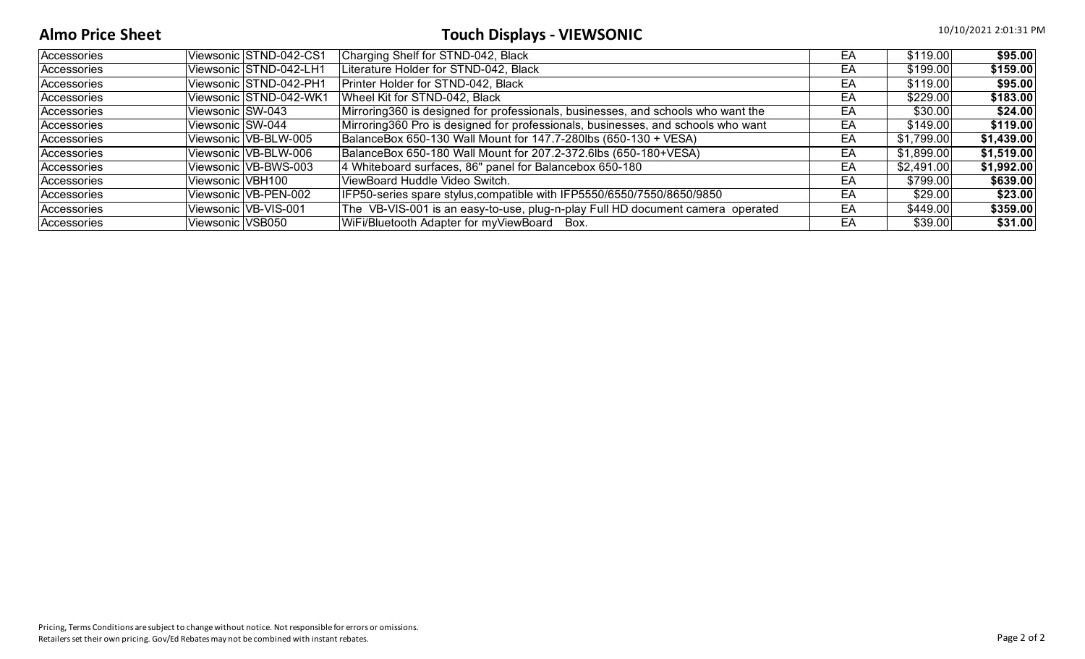# **Almo Price Sheet** 10/10/2021 2:01:31 PM

| Accessories | Viewsonic STND-042-CS1 | Charging Shelf for STND-042, Black                                                | EA | \$119.00   | \$95.00    |
|-------------|------------------------|-----------------------------------------------------------------------------------|----|------------|------------|
| Accessories | Viewsonic STND-042-LH1 | Literature Holder for STND-042, Black                                             | EA | \$199.00   | \$159.00   |
| Accessories | Viewsonic STND-042-PH1 | Printer Holder for STND-042, Black                                                | EA | \$119.00   | \$95.00    |
| Accessories | Viewsonic STND-042-WK1 | Wheel Kit for STND-042, Black                                                     | EA | \$229.00   | \$183.00   |
| Accessories | Viewsonic SW-043       | Mirroring 360 is designed for professionals, businesses, and schools who want the | EA | \$30.00    | \$24.00    |
| Accessories | Viewsonic SW-044       | Mirroring360 Pro is designed for professionals, businesses, and schools who want  | EA | \$149.00   | \$119.00   |
| Accessories | Viewsonic VB-BLW-005   | BalanceBox 650-130 Wall Mount for 147.7-280lbs (650-130 + VESA)                   | EA | \$1,799.00 | \$1,439.00 |
| Accessories | Viewsonic VB-BLW-006   | BalanceBox 650-180 Wall Mount for 207.2-372.6lbs (650-180+VESA)                   | EA | \$1,899.00 | \$1,519.00 |
| Accessories | Viewsonic VB-BWS-003   | 4 Whiteboard surfaces, 86" panel for Balancebox 650-180                           | EA | \$2,491.00 | \$1,992.00 |
| Accessories | Viewsonic VBH100       | ViewBoard Huddle Video Switch.                                                    | EA | \$799.00   | \$639.00   |
| Accessories | Viewsonic VB-PEN-002   | IFP50-series spare stylus, compatible with IFP5550/6550/7550/8650/9850            | EA | \$29.00    | \$23.00    |
| Accessories | Viewsonic VB-VIS-001   | The VB-VIS-001 is an easy-to-use, plug-n-play Full HD document camera operated    | EA | \$449.00   | \$359.00   |
| Accessories | Viewsonic VSB050       | WiFi/Bluetooth Adapter for myViewBoard Box.                                       | EA | \$39.00    | \$31.00    |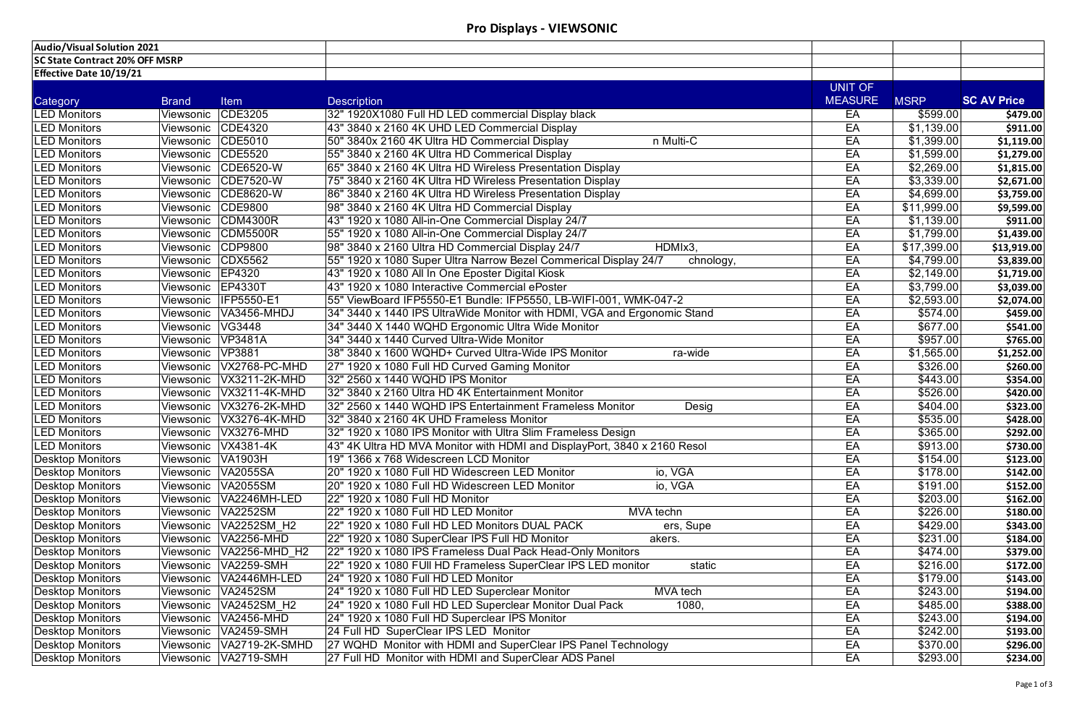| <b>Audio/Visual Solution 2021</b>     |              |                                |                                                                               |                |                        |                    |
|---------------------------------------|--------------|--------------------------------|-------------------------------------------------------------------------------|----------------|------------------------|--------------------|
| <b>SC State Contract 20% OFF MSRP</b> |              |                                |                                                                               |                |                        |                    |
| Effective Date 10/19/21               |              |                                |                                                                               |                |                        |                    |
|                                       |              |                                |                                                                               | UNIT OF        |                        |                    |
| Category                              | <b>Brand</b> | <b>Item</b>                    | <b>Description</b>                                                            | <b>MEASURE</b> | <b>MSRP</b>            | <b>SC AV Price</b> |
| <b>LED Monitors</b>                   | Viewsonic    | CDE3205                        | 32" 1920X1080 Full HD LED commercial Display black                            | EA             | \$599.00               | \$479.00           |
| <b>LED Monitors</b>                   | Viewsonic    | CDE4320                        | 43" 3840 x 2160 4K UHD LED Commercial Display                                 | EA             | $\overline{$1,139.00}$ | \$911.00           |
| <b>LED Monitors</b>                   | Viewsonic    | CDE5010                        | 50" 3840x 2160 4K Ultra HD Commercial Display<br>n Multi-C                    | EA             | \$1,399.00             | \$1,119.00         |
| <b>LED Monitors</b>                   | Viewsonic    | CDE5520                        | 55" 3840 x 2160 4K Ultra HD Commerical Display                                | EA             | \$1,599.00             | \$1,279.00         |
| <b>LED Monitors</b>                   | Viewsonic    | CDE6520-W                      | 65" 3840 x 2160 4K Ultra HD Wireless Presentation Display                     | EA             | \$2,269.00             | \$1,815.00         |
| <b>LED Monitors</b>                   | Viewsonic    | CDE7520-W                      | 75" 3840 x 2160 4K Ultra HD Wireless Presentation Display                     | EA             | \$3,339.00             | \$2,671.00         |
| <b>LED Monitors</b>                   | Viewsonic    | CDE8620-W                      | 86" 3840 x 2160 4K Ultra HD Wireless Presentation Display                     | EA             | \$4,699.00             | \$3,759.00         |
| <b>LED Monitors</b>                   | Viewsonic    | CDE9800                        | 98" 3840 x 2160 4K Ultra HD Commercial Display                                | EA             | \$11,999.00            | \$9,599.00         |
| <b>LED Monitors</b>                   | Viewsonic    | CDM4300R                       | 43" 1920 x 1080 All-in-One Commercial Display 24/7                            | EA             | \$1,139.00             | \$911.00           |
| <b>LED Monitors</b>                   | Viewsonic    | <b>CDM5500R</b>                | 55" 1920 x 1080 All-in-One Commercial Display 24/7                            | EA             | \$1,799.00             | \$1,439.00         |
| <b>LED Monitors</b>                   | Viewsonic    | CDP9800                        | HDMIx3,<br>98" 3840 x 2160 Ultra HD Commercial Display 24/7                   | EA             | \$17,399.00            | \$13,919.00        |
| <b>LED Monitors</b>                   | Viewsonic    | <b>CDX5562</b>                 | 55" 1920 x 1080 Super Ultra Narrow Bezel Commerical Display 24/7<br>chnology, | EA             | \$4,799.00             | \$3,839.00         |
| <b>LED Monitors</b>                   | Viewsonic    | EP4320                         | 43" 1920 x 1080 All In One Eposter Digital Kiosk                              | EA             | \$2,149.00             | \$1,719.00         |
| <b>LED Monitors</b>                   | Viewsonic    | <b>EP4330T</b>                 | 43" 1920 x 1080 Interactive Commercial ePoster                                | EA             | \$3,799.00             | \$3,039.00         |
| <b>LED Monitors</b>                   | Viewsonic    | <b>IFP5550-E1</b>              | 55" ViewBoard IFP5550-E1 Bundle: IFP5550, LB-WIFI-001, WMK-047-2              | EA             | \$2,593.00             | \$2,074.00         |
| <b>LED Monitors</b>                   | Viewsonic    | <b>VA3456-MHDJ</b>             | 34" 3440 x 1440 IPS UltraWide Monitor with HDMI, VGA and Ergonomic Stand      | EA             | \$574.00               | \$459.00           |
| <b>LED Monitors</b>                   | Viewsonic    | VG3448                         | 34" 3440 X 1440 WQHD Ergonomic Ultra Wide Monitor                             | EA             | $\sqrt{$677.00}$       | \$541.00           |
| <b>LED Monitors</b>                   | Viewsonic    | VP3481A                        | 34" 3440 x 1440 Curved Ultra-Wide Monitor                                     | EA             | \$957.00               | \$765.00           |
| <b>LED Monitors</b>                   | Viewsonic    | <b>VP3881</b>                  | 38" 3840 x 1600 WQHD+ Curved Ultra-Wide IPS Monitor<br>ra-wide                | EA             | \$1,565.00             | \$1,252.00         |
| <b>LED Monitors</b>                   | Viewsonic    | VX2768-PC-MHD                  | 27" 1920 x 1080 Full HD Curved Gaming Monitor                                 | EA             | \$326.00               | \$260.00           |
| <b>LED Monitors</b>                   | Viewsonic    | VX3211-2K-MHD                  | 32" 2560 x 1440 WQHD IPS Monitor                                              | EA             | $\sqrt{443.00}$        | \$354.00           |
| <b>LED Monitors</b>                   | Viewsonic    | VX3211-4K-MHD                  | 32" 3840 x 2160 Ultra HD 4K Entertainment Monitor                             | EA             | \$526.00               | \$420.00           |
| <b>LED Monitors</b>                   | Viewsonic    | $\sqrt{\text{V}X3276}$ -2K-MHD | 32" 2560 x 1440 WQHD IPS Entertainment Frameless Monitor<br>Desig             | EA             | \$404.00               | \$323.00           |
| <b>LED Monitors</b>                   | Viewsonic    | VX3276-4K-MHD                  | 32" 3840 x 2160 4K UHD Frameless Monitor                                      | EA             | \$535.00               | \$428.00           |
| <b>LED Monitors</b>                   |              | Viewsonic   VX3276-MHD         | 32" 1920 x 1080 IPS Monitor with Ultra Slim Frameless Design                  | EA             | \$365.00               | \$292.00           |
| <b>LED Monitors</b>                   | Viewsonic    | VX4381-4K                      | 43" 4K Ultra HD MVA Monitor with HDMI and DisplayPort, 3840 x 2160 Resol      | EA             | \$913.00               | \$730.00           |
| <b>Desktop Monitors</b>               | Viewsonic    | <b>VA1903H</b>                 | 19" 1366 x 768 Widescreen LCD Monitor                                         | EA             | \$154.00               | \$123.00           |
| <b>Desktop Monitors</b>               | Viewsonic    | <b>VA2055SA</b>                | 20" 1920 x 1080 Full HD Widescreen LED Monitor<br>io, VGA                     | EA             | \$178.00               | \$142.00           |
| <b>Desktop Monitors</b>               | Viewsonic    | <b>VA2055SM</b>                | io, VGA<br>20" 1920 x 1080 Full HD Widescreen LED Monitor                     | EA             | $\sqrt{$191.00}$       | \$152.00           |
| <b>Desktop Monitors</b>               | Viewsonic    | VA2246MH-LED                   | 22" 1920 x 1080 Full HD Monitor                                               | EA             | \$203.00               | \$162.00           |
| <b>Desktop Monitors</b>               | Viewsonic    | <b>VA2252SM</b>                | 22" 1920 x 1080 Full HD LED Monitor<br>MVA techn                              | EA             | \$226.00               | \$180.00           |
| <b>Desktop Monitors</b>               | Viewsonic    | <b>VA2252SM H2</b>             | 22" 1920 x 1080 Full HD LED Monitors DUAL PACK<br>ers, Supe                   | EA             | \$429.00               | \$343.00           |
| <b>Desktop Monitors</b>               | Viewsonic    | <b>VA2256-MHD</b>              | 22" 1920 x 1080 SuperClear IPS Full HD Monitor<br>akers.                      | EA             | $\sqrt{$231.00}$       | \$184.00           |
| <b>Desktop Monitors</b>               | Viewsonic    | $\sqrt{\text{VA2256-MHD H2}}$  | 22" 1920 x 1080 IPS Frameless Dual Pack Head-Only Monitors                    | EA             | \$474.00               | \$379.00           |
| <b>Desktop Monitors</b>               | Viewsonic    | <b>VA2259-SMH</b>              | 22" 1920 x 1080 FUII HD Frameless SuperClear IPS LED monitor<br>static        | EA             | \$216.00               | \$172.00           |
| <b>Desktop Monitors</b>               | Viewsonic    | VA2446MH-LED                   | 24" 1920 x 1080 Full HD LED Monitor                                           | EA             | \$179.00               | \$143.00           |
| <b>Desktop Monitors</b>               | Viewsonic    | <b>VA2452SM</b>                | 24" 1920 x 1080 Full HD LED Superclear Monitor<br><b>MVA</b> tech             | EA             | \$243.00               | \$194.00           |
| <b>Desktop Monitors</b>               | Viewsonic    | <b>VA2452SM H2</b>             | 24" 1920 x 1080 Full HD LED Superclear Monitor Dual Pack<br>1080,             | EA             | \$485.00               | \$388.00           |
| <b>Desktop Monitors</b>               | Viewsonic    | <b>VA2456-MHD</b>              | 24" 1920 x 1080 Full HD Superclear IPS Monitor                                | EA             | \$243.00               | \$194.00           |
| <b>Desktop Monitors</b>               | Viewsonic    | <b>VA2459-SMH</b>              | 24 Full HD SuperClear IPS LED Monitor                                         | EA             | \$242.00               | \$193.00           |
| <b>Desktop Monitors</b>               | Viewsonic    | <b>VA2719-2K-SMHD</b>          | 27 WQHD Monitor with HDMI and SuperClear IPS Panel Technology                 | EA             | \$370.00               | \$296.00           |
| <b>Desktop Monitors</b>               |              | Viewsonic   VA2719-SMH         | 27 Full HD Monitor with HDMI and SuperClear ADS Panel                         | EA             | \$293.00               | \$234.00           |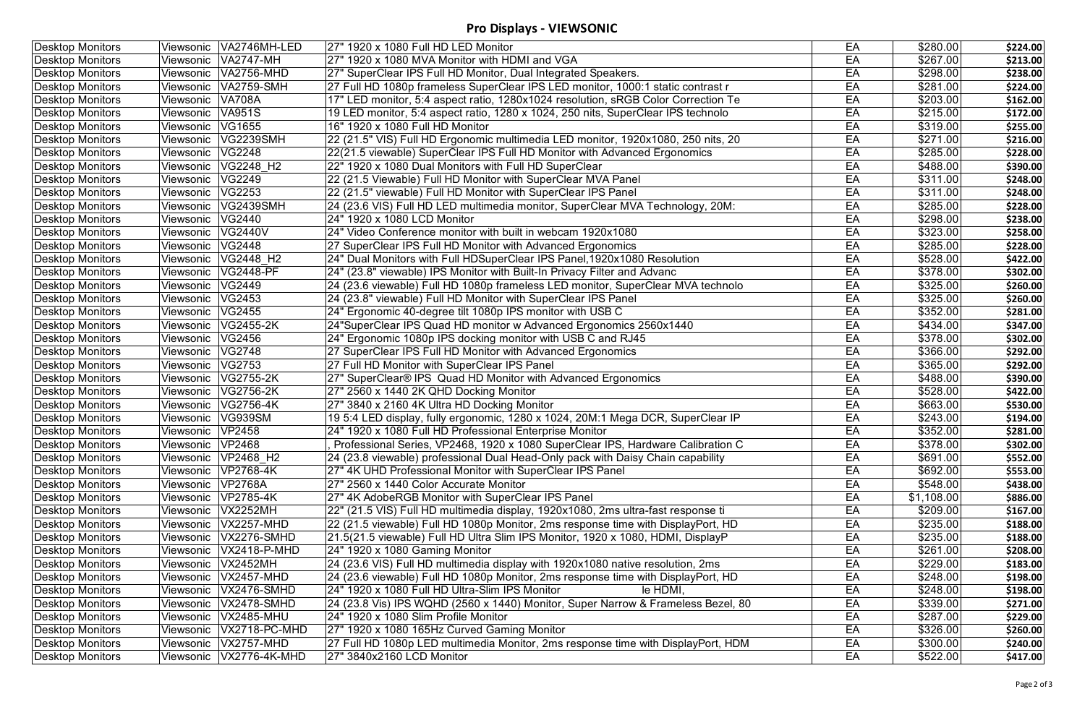### **Pro Displays - VIEWSONIC**

| <b>Desktop Monitors</b> | Viewsonic   VA2746MH-LED           | 27" 1920 x 1080 Full HD LED Monitor                                               | EA | \$280.00             | \$224.00 |
|-------------------------|------------------------------------|-----------------------------------------------------------------------------------|----|----------------------|----------|
| <b>Desktop Monitors</b> | Viewsonic VA2747-MH                | 27" 1920 x 1080 MVA Monitor with HDMI and VGA                                     | EA | \$267.00             | \$213.00 |
| <b>Desktop Monitors</b> | Viewsonic   VA2756-MHD             | 27" SuperClear IPS Full HD Monitor, Dual Integrated Speakers.                     | EA | \$298.00             | \$238.00 |
| <b>Desktop Monitors</b> | <b>VA2759-SMH</b><br>Viewsonic     | 27 Full HD 1080p frameless SuperClear IPS LED monitor, 1000:1 static contrast r   | EA | \$281.00             | \$224.00 |
| <b>Desktop Monitors</b> | <b>VA708A</b><br>Viewsonic         | 17" LED monitor, 5:4 aspect ratio, 1280x1024 resolution, sRGB Color Correction Te | EA | \$203.00             | \$162.00 |
| <b>Desktop Monitors</b> | <b>VA951S</b><br>Viewsonic         | 19 LED monitor, 5:4 aspect ratio, 1280 x 1024, 250 nits, SuperClear IPS technolo  | EA | \$215.00             | \$172.00 |
| <b>Desktop Monitors</b> | VG1655<br>Viewsonic                | 16" 1920 x 1080 Full HD Monitor                                                   | EA | \$319.00             | \$255.00 |
| <b>Desktop Monitors</b> | <b>VG2239SMH</b><br>Viewsonic      | 22 (21.5" VIS) Full HD Ergonomic multimedia LED monitor, 1920x1080, 250 nits, 20  | EA | $\sqrt{$271.00}$     | \$216.00 |
| <b>Desktop Monitors</b> | <b>VG2248</b><br>Viewsonic         | 22(21.5 viewable) SuperClear IPS Full HD Monitor with Advanced Ergonomics         | EA | \$285.00             | \$228.00 |
| <b>Desktop Monitors</b> | VG2248 H2<br>Viewsonic             | 22" 1920 x 1080 Dual Monitors with Full HD SuperClear                             | EA | $\sqrt{488.00}$      | \$390.00 |
| <b>Desktop Monitors</b> | VG2249<br>Viewsonic                | 22 (21.5 Viewable) Full HD Monitor with SuperClear MVA Panel                      | EA | \$311.00             | \$248.00 |
| <b>Desktop Monitors</b> | <b>VG2253</b><br>Viewsonic         | 22 (21.5" viewable) Full HD Monitor with SuperClear IPS Panel                     | EA | \$311.00             | \$248.00 |
| <b>Desktop Monitors</b> | <b>VG2439SMH</b><br>Viewsonic      | 24 (23.6 VIS) Full HD LED multimedia monitor, SuperClear MVA Technology, 20M:     | EA | \$285.00             | \$228.00 |
| <b>Desktop Monitors</b> | VG2440<br>Viewsonic                | 24" 1920 x 1080 LCD Monitor                                                       | EA | $\sqrt{$298.00}$     | \$238.00 |
| <b>Desktop Monitors</b> | <b>VG2440V</b><br>Viewsonic        | 24" Video Conference monitor with built in webcam 1920x1080                       | EA | \$323.00             | \$258.00 |
| <b>Desktop Monitors</b> | <b>VG2448</b><br>Viewsonic         | 27 SuperClear IPS Full HD Monitor with Advanced Ergonomics                        | EA | $\sqrt{285.00}$      | \$228.00 |
| <b>Desktop Monitors</b> | VG2448 H <sub>2</sub><br>Viewsonic | 24" Dual Monitors with Full HDSuperClear IPS Panel, 1920x1080 Resolution          | EA | \$528.00             | \$422.00 |
| <b>Desktop Monitors</b> | <b>VG2448-PF</b><br>Viewsonic      | 24" (23.8" viewable) IPS Monitor with Built-In Privacy Filter and Advanc          | EA | $\sqrt{3378.00}$     | \$302.00 |
| <b>Desktop Monitors</b> | <b>VG2449</b><br>Viewsonic         | 24 (23.6 viewable) Full HD 1080p frameless LED monitor, SuperClear MVA technolo   | EA | \$325.00             | \$260.00 |
| <b>Desktop Monitors</b> | VG2453<br>Viewsonic                | 24 (23.8" viewable) Full HD Monitor with SuperClear IPS Panel                     | EA | \$325.00             | \$260.00 |
| <b>Desktop Monitors</b> | <b>VG2455</b><br>Viewsonic         | 24" Ergonomic 40-degree tilt 1080p IPS monitor with USB C                         | EA | \$352.00             | \$281.00 |
| <b>Desktop Monitors</b> | VG2455-2K<br>Viewsonic             | 24"SuperClear IPS Quad HD monitor w Advanced Ergonomics 2560x1440                 | EA | \$434.00             | \$347.00 |
| <b>Desktop Monitors</b> | VG2456<br>Viewsonic                | 24" Ergonomic 1080p IPS docking monitor with USB C and RJ45                       | EA | \$378.00             | \$302.00 |
| <b>Desktop Monitors</b> | <b>VG2748</b><br>Viewsonic         | 27 SuperClear IPS Full HD Monitor with Advanced Ergonomics                        | EA | \$366.00             | \$292.00 |
| <b>Desktop Monitors</b> | <b>VG2753</b><br>Viewsonic         | 27 Full HD Monitor with SuperClear IPS Panel                                      | EA | \$365.00             | \$292.00 |
| <b>Desktop Monitors</b> | VG2755-2K<br>Viewsonic             | 27" SuperClear® IPS Quad HD Monitor with Advanced Ergonomics                      | EA | \$488.00             | \$390.00 |
| <b>Desktop Monitors</b> | VG2756-2K<br>Viewsonic             | 27" 2560 x 1440 2K QHD Docking Monitor                                            | EA | \$528.00             | \$422.00 |
| <b>Desktop Monitors</b> | <b>VG2756-4K</b><br>Viewsonic      | 27" 3840 x 2160 4K Ultra HD Docking Monitor                                       | EA | \$663.00             | \$530.00 |
| <b>Desktop Monitors</b> | <b>VG939SM</b><br>Viewsonic        | 19 5:4 LED display, fully ergonomic, 1280 x 1024, 20M:1 Mega DCR, SuperClear IP   | EA | \$243.00             | \$194.00 |
| <b>Desktop Monitors</b> | Viewsonic   VP2458                 | 24" 1920 x 1080 Full HD Professional Enterprise Monitor                           | EA | \$352.00             | \$281.00 |
| <b>Desktop Monitors</b> | Viewsonic VP2468                   | Professional Series, VP2468, 1920 x 1080 SuperClear IPS, Hardware Calibration C   | EA | $\overline{$}378.00$ | \$302.00 |
| <b>Desktop Monitors</b> | Viewsonic VP2468 H2                | 24 (23.8 viewable) professional Dual Head-Only pack with Daisy Chain capability   | EA | \$691.00             | \$552.00 |
| <b>Desktop Monitors</b> | <b>VP2768-4K</b><br>Viewsonic      | 27" 4K UHD Professional Monitor with SuperClear IPS Panel                         | EA | \$692.00             | \$553.00 |
| <b>Desktop Monitors</b> | Viewsonic   VP2768A                | 27" 2560 x 1440 Color Accurate Monitor                                            | EA | \$548.00             | \$438.00 |
| <b>Desktop Monitors</b> | Viewsonic   VP2785-4K              | 27" 4K AdobeRGB Monitor with SuperClear IPS Panel                                 | EA | \$1,108.00           | \$886.00 |
| <b>Desktop Monitors</b> | Viewsonic   VX2252MH               | 22" (21.5 VIS) Full HD multimedia display, 1920x1080, 2ms ultra-fast response ti  | EA | \$209.00             | \$167.00 |
| <b>Desktop Monitors</b> | <b>VX2257-MHD</b><br>Viewsonic     | 22 (21.5 viewable) Full HD 1080p Monitor, 2ms response time with DisplayPort, HD  | EA | \$235.00             | \$188.00 |
| <b>Desktop Monitors</b> | Viewsonic   VX2276-SMHD            | 21.5(21.5 viewable) Full HD Ultra Slim IPS Monitor, 1920 x 1080, HDMI, DisplayP   | EA | $\sqrt{$235.00}$     | \$188.00 |
| <b>Desktop Monitors</b> | Viewsonic  VX2418-P-MHD            | 24" 1920 x 1080 Gaming Monitor                                                    | EA | \$261.00             | \$208.00 |
| <b>Desktop Monitors</b> | Viewsonic   VX2452MH               | 24 (23.6 VIS) Full HD multimedia display with 1920x1080 native resolution, 2ms    | EA | \$229.00             | \$183.00 |
| <b>Desktop Monitors</b> | Viewsonic   VX2457-MHD             | 24 (23.6 viewable) Full HD 1080p Monitor, 2ms response time with DisplayPort, HD  | EA | \$248.00             | \$198.00 |
| <b>Desktop Monitors</b> | Viewsonic  VX2476-SMHD             | 24" 1920 x 1080 Full HD Ultra-Slim IPS Monitor<br>le HDMI,                        | EA | \$248.00             | \$198.00 |
| <b>Desktop Monitors</b> | Viewsonic  VX2478-SMHD             | 24 (23.8 Vis) IPS WQHD (2560 x 1440) Monitor, Super Narrow & Frameless Bezel, 80  | EA | \$339.00             | \$271.00 |
| <b>Desktop Monitors</b> | Viewsonic VX2485-MHU               | 24" 1920 x 1080 Slim Profile Monitor                                              | EA | \$287.00             | \$229.00 |
| <b>Desktop Monitors</b> | Viewsonic  VX2718-PC-MHD           | 27" 1920 x 1080 165Hz Curved Gaming Monitor                                       | EA | \$326.00             | \$260.00 |
| <b>Desktop Monitors</b> | Viewsonic   VX2757-MHD             | 27 Full HD 1080p LED multimedia Monitor, 2ms response time with DisplayPort, HDM  | EA | \$300.00]            | \$240.00 |
| <b>Desktop Monitors</b> | Viewsonic   VX2776-4K-MHD          | 27" 3840x2160 LCD Monitor                                                         | EA | \$522.00             | \$417.00 |